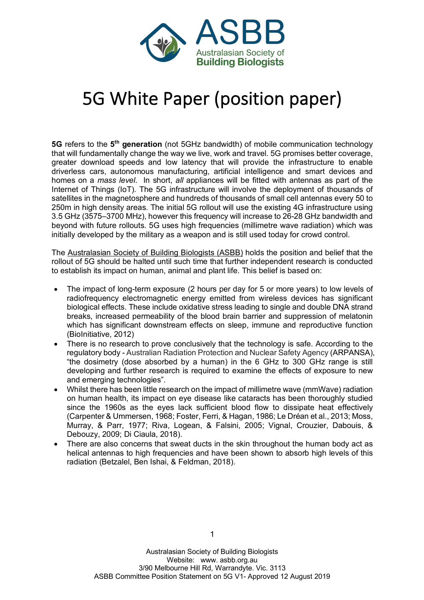

# 5G White Paper (position paper)

**5G** refers to the **5th generation** (not 5GHz bandwidth) of mobile communication technology that will fundamentally change the way we live, work and travel. 5G promises better coverage, greater download speeds and low latency that will provide the infrastructure to enable driverless cars, autonomous manufacturing, artificial intelligence and smart devices and homes on a *mass level*. In short, *all* appliances will be fitted with antennas as part of the Internet of Things (IoT). The 5G infrastructure will involve the deployment of thousands of satellites in the magnetosphere and hundreds of thousands of small cell antennas every 50 to 250m in high density areas. The initial 5G rollout will use the existing 4G infrastructure using 3.5 GHz (3575–3700 MHz), however this frequency will increase to 26-28 GHz bandwidth and beyond with future rollouts. 5G uses high frequencies (millimetre wave radiation) which was initially developed by the military as a weapon and is still used today for crowd control.

The Australasian Society of Building Biologists (ASBB) holds the position and belief that the rollout of 5G should be halted until such time that further independent research is conducted to establish its impact on human, animal and plant life. This belief is based on:

- The impact of long-term exposure (2 hours per day for 5 or more years) to low levels of radiofrequency electromagnetic energy emitted from wireless devices has significant biological effects. These include oxidative stress leading to single and double DNA strand breaks, increased permeability of the blood brain barrier and suppression of melatonin which has significant downstream effects on sleep, immune and reproductive function (BioInitiative, 2012)
- There is no research to prove conclusively that the technology is safe. According to the regulatory body - Australian Radiation Protection and Nuclear Safety Agency (ARPANSA), "the dosimetry (dose absorbed by a human) in the 6 GHz to 300 GHz range is still developing and further research is required to examine the effects of exposure to new and emerging technologies".
- Whilst there has been little research on the impact of millimetre wave (mmWave) radiation on human health, its impact on eye disease like cataracts has been thoroughly studied since the 1960s as the eyes lack sufficient blood flow to dissipate heat effectively (Carpenter & Ummersen, 1968; Foster, Ferri, & Hagan, 1986; Le Dréan et al., 2013; Moss, Murray, & Parr, 1977; Riva, Logean, & Falsini, 2005; Vignal, Crouzier, Dabouis, & Debouzy, 2009; Di Ciaula, 2018).
- There are also concerns that sweat ducts in the skin throughout the human body act as helical antennas to high frequencies and have been shown to absorb high levels of this radiation (Betzalel, Ben Ishai, & Feldman, 2018).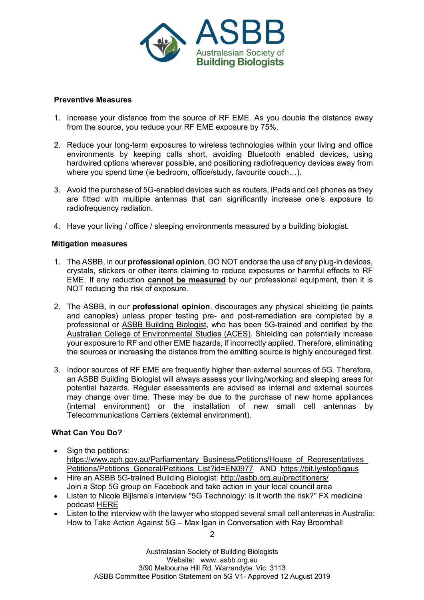

### **Preventive Measures**

- 1. Increase your distance from the source of RF EME. As you double the distance away from the source, you reduce your RF EME exposure by 75%.
- 2. Reduce your long-term exposures to wireless technologies within your living and office environments by keeping calls short, avoiding Bluetooth enabled devices, using hardwired options wherever possible, and positioning radiofrequency devices away from where you spend time (ie bedroom, office/study, favourite couch…).
- 3. Avoid the purchase of 5G-enabled devices such as routers, iPads and cell phones as they are fitted with multiple antennas that can significantly increase one's exposure to radiofrequency radiation.
- 4. Have your living / office / sleeping environments measured by a building biologist.

## **Mitigation measures**

- 1. The ASBB, in our **professional opinion**, DO NOT endorse the use of any plug-in devices, crystals, stickers or other items claiming to reduce exposures or harmful effects to RF EME. If any reduction **cannot be measured** by our professional equipment, then it is NOT reducing the risk of exposure.
- 2. The ASBB, in our **professional opinion**, discourages any physical shielding (ie paints and canopies) unless proper testing pre- and post-remediation are completed by a professional or ASBB Building Biologist, who has been 5G-trained and certified by the Australian College of Environmental Studies (ACES). Shielding can potentially increase your exposure to RF and other EME hazards, if incorrectly applied. Therefore, eliminating the sources or increasing the distance from the emitting source is highly encouraged first.
- 3. Indoor sources of RF EME are frequently higher than external sources of 5G. Therefore, an ASBB Building Biologist will always assess your living/working and sleeping areas for potential hazards. Regular assessments are advised as internal and external sources may change over time. These may be due to the purchase of new home appliances (internal environment) or the installation of new small cell antennas by Telecommunications Carriers (external environment).

## **What Can You Do?**

- Sign the petitions: https://www.aph.gov.au/Parliamentary\_Business/Petitions/House\_of\_Representatives Petitions/Petitions General/Petitions List?id=EN0977 AND https://bit.ly/stop5gaus
- Hire an ASBB 5G-trained Building Biologist: http://asbb.org.au/practitioners/ Join a Stop 5G group on Facebook and take action in your local council area
- Listen to Nicole Bijlsma's interview "5G Technology: is it worth the risk?" FX medicine podcast HERE
- Listen to the interview with the lawyer who stopped several small cell antennas in Australia: How to Take Action Against 5G – Max Igan in Conversation with Ray Broomhall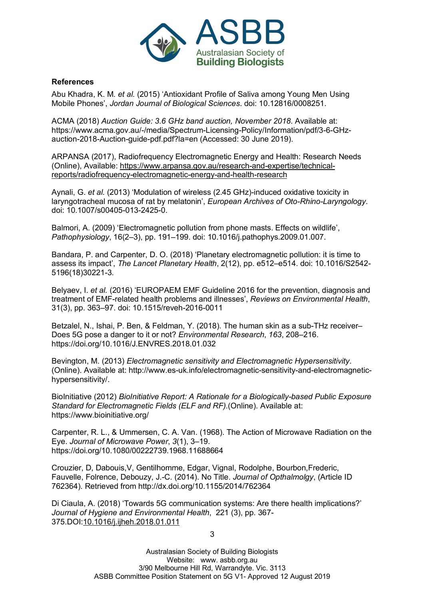

## **References**

Abu Khadra, K. M. *et al.* (2015) 'Antioxidant Profile of Saliva among Young Men Using Mobile Phones', *Jordan Journal of Biological Sciences*. doi: 10.12816/0008251.

ACMA (2018) *Auction Guide: 3.6 GHz band auction, November 2018*. Available at: https://www.acma.gov.au/-/media/Spectrum-Licensing-Policy/Information/pdf/3-6-GHzauction-2018-Auction-guide-pdf.pdf?la=en (Accessed: 30 June 2019).

ARPANSA (2017), Radiofrequency Electromagnetic Energy and Health: Research Needs (Online), Available: https://www.arpansa.gov.au/research-and-expertise/technicalreports/radiofrequency-electromagnetic-energy-and-health-research

Aynali, G. *et al.* (2013) 'Modulation of wireless (2.45 GHz)-induced oxidative toxicity in laryngotracheal mucosa of rat by melatonin', *European Archives of Oto-Rhino-Laryngology*. doi: 10.1007/s00405-013-2425-0.

Balmori, A. (2009) 'Electromagnetic pollution from phone masts. Effects on wildlife', *Pathophysiology*, 16(2–3), pp. 191–199. doi: 10.1016/j.pathophys.2009.01.007.

Bandara, P. and Carpenter, D. O. (2018) 'Planetary electromagnetic pollution: it is time to assess its impact', *The Lancet Planetary Health*, 2(12), pp. e512–e514. doi: 10.1016/S2542- 5196(18)30221-3.

Belyaev, I. *et al.* (2016) 'EUROPAEM EMF Guideline 2016 for the prevention, diagnosis and treatment of EMF-related health problems and illnesses', *Reviews on Environmental Health*, 31(3), pp. 363–97. doi: 10.1515/reveh-2016-0011

Betzalel, N., Ishai, P. Ben, & Feldman, Y. (2018). The human skin as a sub-THz receiver– Does 5G pose a danger to it or not? *Environmental Research*, *163*, 208–216. https://doi.org/10.1016/J.ENVRES.2018.01.032

Bevington, M. (2013) *Electromagnetic sensitivity and Electromagnetic Hypersensitivity*. (Online). Available at: http://www.es-uk.info/electromagnetic-sensitivity-and-electromagnetichypersensitivity/.

BioInitiative (2012) *BioInitiative Report: A Rationale for a Biologically-based Public Exposure Standard for Electromagnetic Fields (ELF and RF)*.(Online). Available at: https://www.bioinitiative.org/

Carpenter, R. L., & Ummersen, C. A. Van. (1968). The Action of Microwave Radiation on the Eye. *Journal of Microwave Power*, *3*(1), 3–19. https://doi.org/10.1080/00222739.1968.11688664

Crouzier, D, Dabouis,V, Gentilhomme, Edgar, Vignal, Rodolphe, Bourbon,Frederic, Fauvelle, Folrence, Debouzy, J.-C. (2014). No Title. *Journal of Opthalmolgy*, (Article ID 762364). Retrieved from http://dx.doi.org/10.1155/2014/762364

Di Ciaula, A. (2018) 'Towards 5G communication systems: Are there health implications?' *Journal of Hygiene and Environmental Health*, 221 (3), pp. 367- 375.DOI:10.1016/j.ijheh.2018.01.011

3